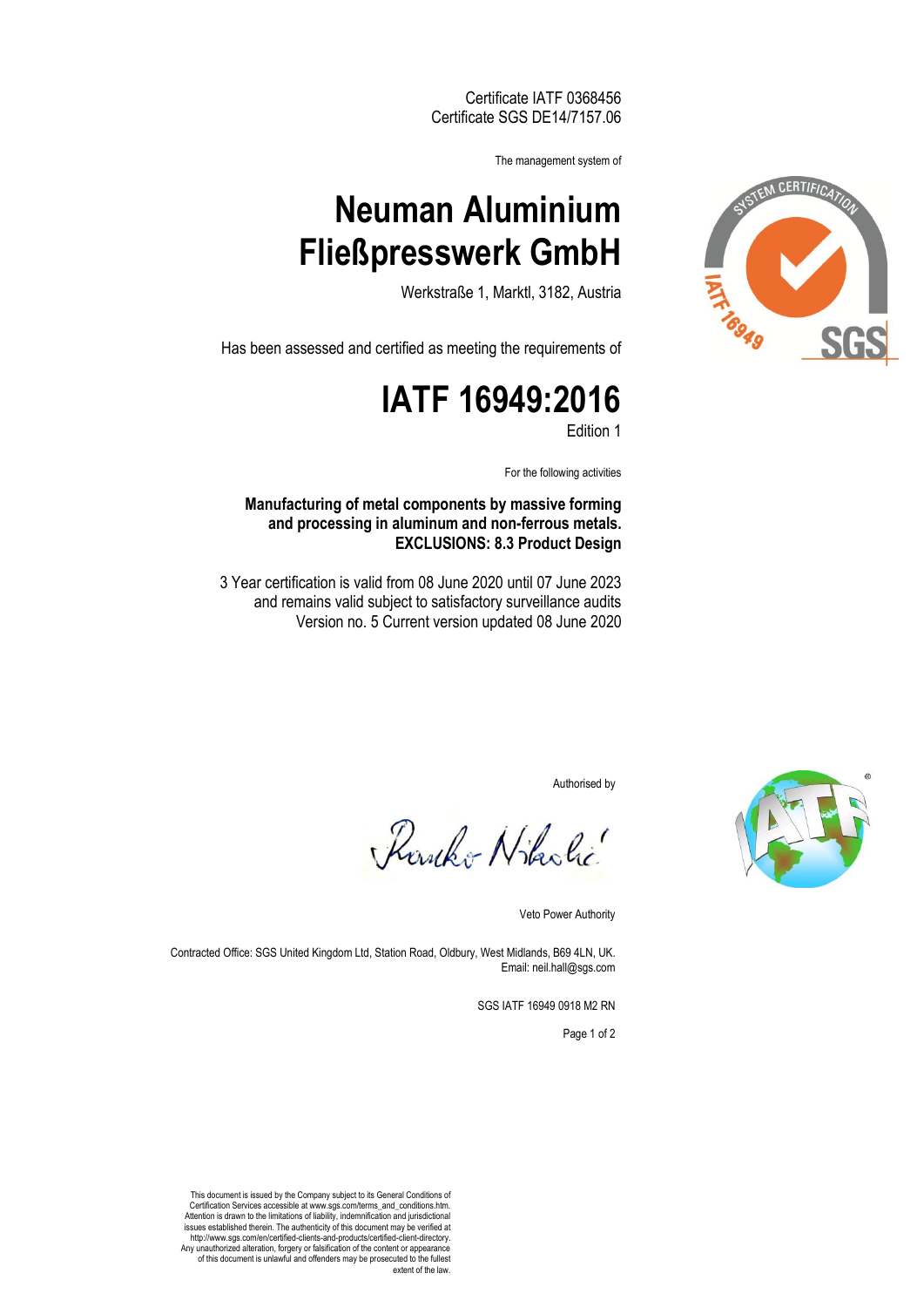Certificate IATF 0368456 Certificate SGS DE14/7157.06

The management system of

## **Neuman Aluminium Fließpresswerk GmbH**

Werkstraße 1, Marktl, 3182, Austria

Has been assessed and certified as meeting the requirements of

## **IATF 16949:2016**

Edition 1

For the following activities

**Manufacturing of metal components by massive forming and processing in aluminum and non-ferrous metals. EXCLUSIONS: 8.3 Product Design**

3 Year certification is valid from 08 June 2020 until 07 June 2023 and remains valid subject to satisfactory surveillance audits Version no. 5 Current version updated 08 June 2020

Authorised by

Royko Nikolic

Veto Power Authority

Contracted Office: SGS United Kingdom Ltd, Station Road, Oldbury, West Midlands, B69 4LN, UK. Email: neil.hall@sgs.com

SGS IATF 16949 0918 M2 RN

Page 1 of 2